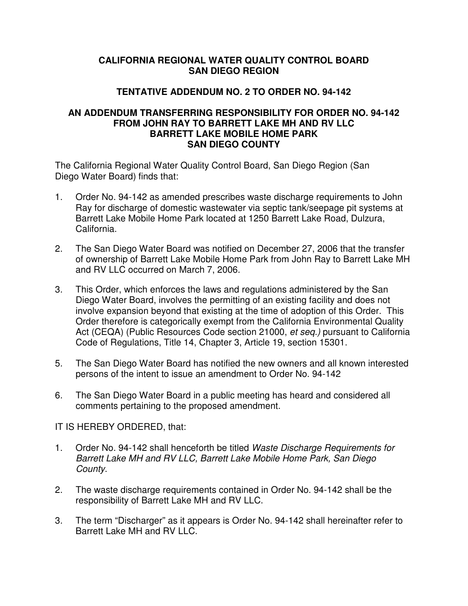## **CALIFORNIA REGIONAL WATER QUALITY CONTROL BOARD SAN DIEGO REGION**

## **TENTATIVE ADDENDUM NO. 2 TO ORDER NO. 94-142**

## **AN ADDENDUM TRANSFERRING RESPONSIBILITY FOR ORDER NO. 94-142 FROM JOHN RAY TO BARRETT LAKE MH AND RV LLC BARRETT LAKE MOBILE HOME PARK SAN DIEGO COUNTY**

The California Regional Water Quality Control Board, San Diego Region (San Diego Water Board) finds that:

- 1. Order No. 94-142 as amended prescribes waste discharge requirements to John Ray for discharge of domestic wastewater via septic tank/seepage pit systems at Barrett Lake Mobile Home Park located at 1250 Barrett Lake Road, Dulzura, California.
- 2. The San Diego Water Board was notified on December 27, 2006 that the transfer of ownership of Barrett Lake Mobile Home Park from John Ray to Barrett Lake MH and RV LLC occurred on March 7, 2006.
- 3. This Order, which enforces the laws and regulations administered by the San Diego Water Board, involves the permitting of an existing facility and does not involve expansion beyond that existing at the time of adoption of this Order. This Order therefore is categorically exempt from the California Environmental Quality Act (CEQA) (Public Resources Code section 21000, et seq.) pursuant to California Code of Regulations, Title 14, Chapter 3, Article 19, section 15301.
- 5. The San Diego Water Board has notified the new owners and all known interested persons of the intent to issue an amendment to Order No. 94-142
- 6. The San Diego Water Board in a public meeting has heard and considered all comments pertaining to the proposed amendment.

## IT IS HEREBY ORDERED, that:

- 1. Order No. 94-142 shall henceforth be titled Waste Discharge Requirements for Barrett Lake MH and RV LLC, Barrett Lake Mobile Home Park, San Diego County.
- 2. The waste discharge requirements contained in Order No. 94-142 shall be the responsibility of Barrett Lake MH and RV LLC.
- 3. The term "Discharger" as it appears is Order No. 94-142 shall hereinafter refer to Barrett Lake MH and RV LLC.